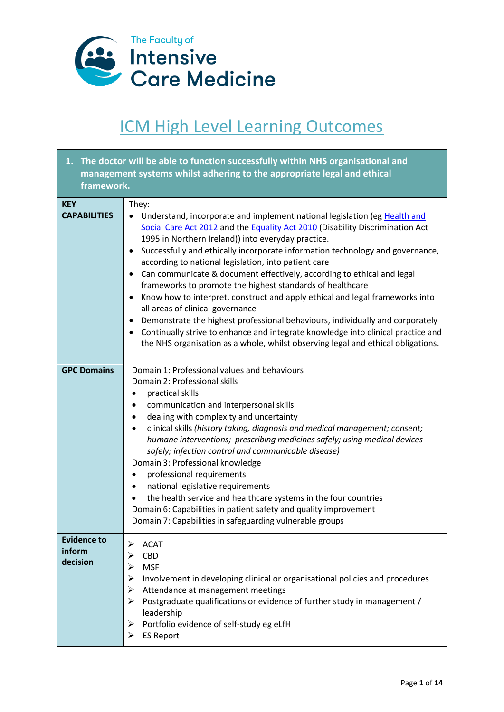

## ICM High Level Learning Outcomes

| 1. The doctor will be able to function successfully within NHS organisational and |                                                                                                                                                                                                                                                                                                                                                                                                                                                                                                                                                                                                                                                                                                                                                                                                                                                                                                     |
|-----------------------------------------------------------------------------------|-----------------------------------------------------------------------------------------------------------------------------------------------------------------------------------------------------------------------------------------------------------------------------------------------------------------------------------------------------------------------------------------------------------------------------------------------------------------------------------------------------------------------------------------------------------------------------------------------------------------------------------------------------------------------------------------------------------------------------------------------------------------------------------------------------------------------------------------------------------------------------------------------------|
| framework.                                                                        | management systems whilst adhering to the appropriate legal and ethical                                                                                                                                                                                                                                                                                                                                                                                                                                                                                                                                                                                                                                                                                                                                                                                                                             |
| <b>KEY</b><br><b>CAPABILITIES</b>                                                 | They:<br>Understand, incorporate and implement national legislation (eg Health and<br>Social Care Act 2012 and the Equality Act 2010 (Disability Discrimination Act<br>1995 in Northern Ireland)) into everyday practice.<br>Successfully and ethically incorporate information technology and governance,<br>according to national legislation, into patient care<br>Can communicate & document effectively, according to ethical and legal<br>$\bullet$<br>frameworks to promote the highest standards of healthcare<br>Know how to interpret, construct and apply ethical and legal frameworks into<br>all areas of clinical governance<br>Demonstrate the highest professional behaviours, individually and corporately<br>Continually strive to enhance and integrate knowledge into clinical practice and<br>the NHS organisation as a whole, whilst observing legal and ethical obligations. |
| <b>GPC Domains</b>                                                                | Domain 1: Professional values and behaviours<br>Domain 2: Professional skills<br>practical skills<br>communication and interpersonal skills<br>dealing with complexity and uncertainty<br>$\bullet$<br>clinical skills (history taking, diagnosis and medical management; consent;<br>$\bullet$<br>humane interventions; prescribing medicines safely; using medical devices<br>safely; infection control and communicable disease)<br>Domain 3: Professional knowledge<br>professional requirements<br>٠<br>national legislative requirements<br>٠<br>the health service and healthcare systems in the four countries<br>Domain 6: Capabilities in patient safety and quality improvement<br>Domain 7: Capabilities in safeguarding vulnerable groups                                                                                                                                              |
| <b>Evidence to</b><br>inform<br>decision                                          | <b>ACAT</b><br>CBD<br><b>MSF</b><br>Involvement in developing clinical or organisational policies and procedures<br>⋗<br>Attendance at management meetings<br>➤<br>Postgraduate qualifications or evidence of further study in management /<br>leadership<br>Portfolio evidence of self-study eg eLfH<br><b>ES Report</b>                                                                                                                                                                                                                                                                                                                                                                                                                                                                                                                                                                           |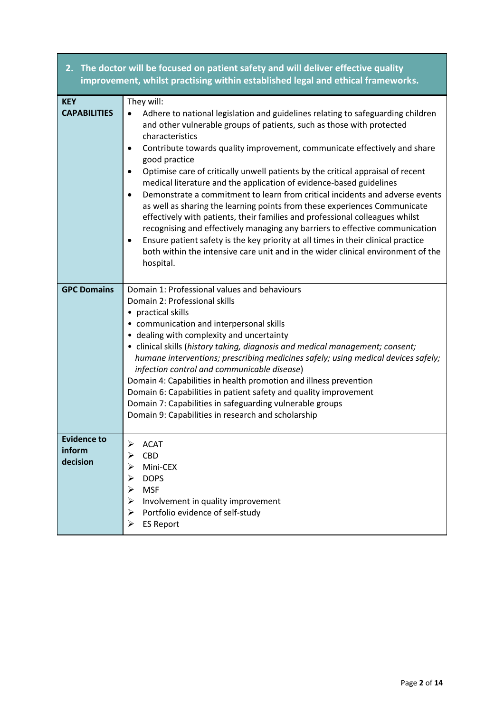| improvement, whilst practising within established legal and ethical frameworks. |                                                                                                                                                                                                                                                                                                                                                                                                                                                                                                                                                                                                                                                                                                                                                                                                                                                                                                         |  |
|---------------------------------------------------------------------------------|---------------------------------------------------------------------------------------------------------------------------------------------------------------------------------------------------------------------------------------------------------------------------------------------------------------------------------------------------------------------------------------------------------------------------------------------------------------------------------------------------------------------------------------------------------------------------------------------------------------------------------------------------------------------------------------------------------------------------------------------------------------------------------------------------------------------------------------------------------------------------------------------------------|--|
| <b>KEY</b><br><b>CAPABILITIES</b>                                               | They will:<br>Adhere to national legislation and guidelines relating to safeguarding children                                                                                                                                                                                                                                                                                                                                                                                                                                                                                                                                                                                                                                                                                                                                                                                                           |  |
|                                                                                 | and other vulnerable groups of patients, such as those with protected<br>characteristics<br>Contribute towards quality improvement, communicate effectively and share<br>٠<br>good practice<br>Optimise care of critically unwell patients by the critical appraisal of recent<br>$\bullet$<br>medical literature and the application of evidence-based guidelines<br>Demonstrate a commitment to learn from critical incidents and adverse events<br>$\bullet$<br>as well as sharing the learning points from these experiences Communicate<br>effectively with patients, their families and professional colleagues whilst<br>recognising and effectively managing any barriers to effective communication<br>Ensure patient safety is the key priority at all times in their clinical practice<br>٠<br>both within the intensive care unit and in the wider clinical environment of the<br>hospital. |  |
| <b>GPC Domains</b>                                                              | Domain 1: Professional values and behaviours<br>Domain 2: Professional skills<br>practical skills<br>٠<br>• communication and interpersonal skills<br>• dealing with complexity and uncertainty<br>• clinical skills (history taking, diagnosis and medical management; consent;<br>humane interventions; prescribing medicines safely; using medical devices safely;<br>infection control and communicable disease)<br>Domain 4: Capabilities in health promotion and illness prevention<br>Domain 6: Capabilities in patient safety and quality improvement<br>Domain 7: Capabilities in safeguarding vulnerable groups<br>Domain 9: Capabilities in research and scholarship                                                                                                                                                                                                                         |  |
| <b>Evidence to</b><br>inform<br>decision                                        | ACAT<br><b>CBD</b><br>Mini-CEX<br><b>DOPS</b><br><b>MSF</b><br>Involvement in quality improvement<br>Portfolio evidence of self-study<br>➤<br><b>ES Report</b><br>⋗                                                                                                                                                                                                                                                                                                                                                                                                                                                                                                                                                                                                                                                                                                                                     |  |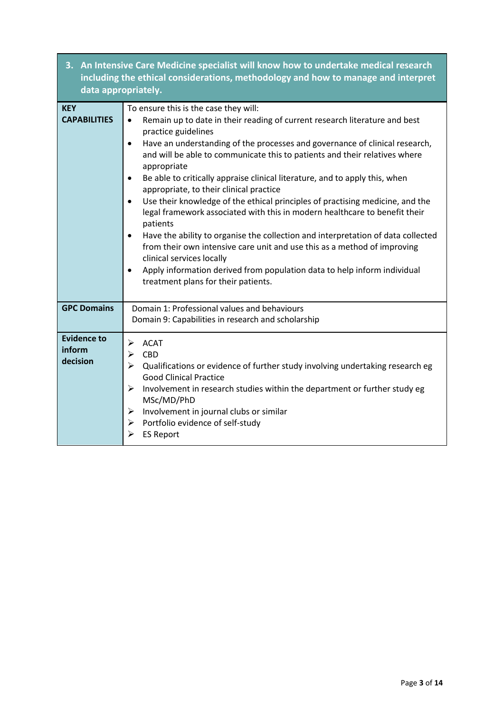| 3. An Intensive Care Medicine specialist will know how to undertake medical research<br>including the ethical considerations, methodology and how to manage and interpret<br>data appropriately. |                                                                                                                                                                                                                                                                                                                                                                                                                                                                                                                                                                                                                                                                                                                                                                                                                                                                                                                                                                                                                           |
|--------------------------------------------------------------------------------------------------------------------------------------------------------------------------------------------------|---------------------------------------------------------------------------------------------------------------------------------------------------------------------------------------------------------------------------------------------------------------------------------------------------------------------------------------------------------------------------------------------------------------------------------------------------------------------------------------------------------------------------------------------------------------------------------------------------------------------------------------------------------------------------------------------------------------------------------------------------------------------------------------------------------------------------------------------------------------------------------------------------------------------------------------------------------------------------------------------------------------------------|
| <b>KEY</b><br><b>CAPABILITIES</b>                                                                                                                                                                | To ensure this is the case they will:<br>Remain up to date in their reading of current research literature and best<br>$\bullet$<br>practice guidelines<br>Have an understanding of the processes and governance of clinical research,<br>$\bullet$<br>and will be able to communicate this to patients and their relatives where<br>appropriate<br>Be able to critically appraise clinical literature, and to apply this, when<br>$\bullet$<br>appropriate, to their clinical practice<br>Use their knowledge of the ethical principles of practising medicine, and the<br>$\bullet$<br>legal framework associated with this in modern healthcare to benefit their<br>patients<br>Have the ability to organise the collection and interpretation of data collected<br>$\bullet$<br>from their own intensive care unit and use this as a method of improving<br>clinical services locally<br>Apply information derived from population data to help inform individual<br>$\bullet$<br>treatment plans for their patients. |
| <b>GPC Domains</b>                                                                                                                                                                               | Domain 1: Professional values and behaviours<br>Domain 9: Capabilities in research and scholarship                                                                                                                                                                                                                                                                                                                                                                                                                                                                                                                                                                                                                                                                                                                                                                                                                                                                                                                        |
| <b>Evidence to</b><br>inform<br>decision                                                                                                                                                         | $\blacktriangleright$<br><b>ACAT</b><br><b>CBD</b><br>$\blacktriangleright$<br>Qualifications or evidence of further study involving undertaking research eg<br>➤<br><b>Good Clinical Practice</b><br>$\blacktriangleright$<br>Involvement in research studies within the department or further study eg<br>MSc/MD/PhD<br>Involvement in journal clubs or similar<br>➤<br>Portfolio evidence of self-study<br>$\blacktriangleright$<br>➤<br><b>ES Report</b>                                                                                                                                                                                                                                                                                                                                                                                                                                                                                                                                                              |

Г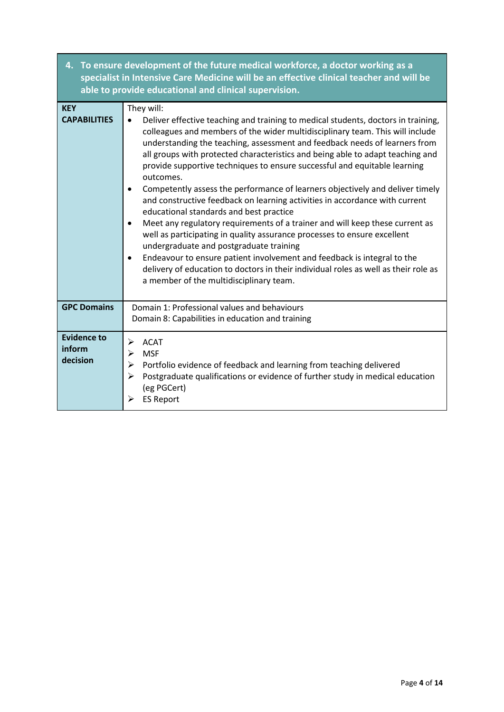| 4.                                       | To ensure development of the future medical workforce, a doctor working as a<br>specialist in Intensive Care Medicine will be an effective clinical teacher and will be<br>able to provide educational and clinical supervision.                                                                                                                                                                                                                                                                                                                                                                                                                                                                                                                                                                                                                                                                                                                                                                                                                                                                 |
|------------------------------------------|--------------------------------------------------------------------------------------------------------------------------------------------------------------------------------------------------------------------------------------------------------------------------------------------------------------------------------------------------------------------------------------------------------------------------------------------------------------------------------------------------------------------------------------------------------------------------------------------------------------------------------------------------------------------------------------------------------------------------------------------------------------------------------------------------------------------------------------------------------------------------------------------------------------------------------------------------------------------------------------------------------------------------------------------------------------------------------------------------|
| <b>KEY</b><br><b>CAPABILITIES</b>        | They will:<br>Deliver effective teaching and training to medical students, doctors in training,<br>colleagues and members of the wider multidisciplinary team. This will include<br>understanding the teaching, assessment and feedback needs of learners from<br>all groups with protected characteristics and being able to adapt teaching and<br>provide supportive techniques to ensure successful and equitable learning<br>outcomes.<br>Competently assess the performance of learners objectively and deliver timely<br>٠<br>and constructive feedback on learning activities in accordance with current<br>educational standards and best practice<br>Meet any regulatory requirements of a trainer and will keep these current as<br>$\bullet$<br>well as participating in quality assurance processes to ensure excellent<br>undergraduate and postgraduate training<br>Endeavour to ensure patient involvement and feedback is integral to the<br>٠<br>delivery of education to doctors in their individual roles as well as their role as<br>a member of the multidisciplinary team. |
| <b>GPC Domains</b>                       | Domain 1: Professional values and behaviours<br>Domain 8: Capabilities in education and training                                                                                                                                                                                                                                                                                                                                                                                                                                                                                                                                                                                                                                                                                                                                                                                                                                                                                                                                                                                                 |
| <b>Evidence to</b><br>inform<br>decision | <b>ACAT</b><br>➤<br><b>MSF</b><br>$\blacktriangleright$<br>Portfolio evidence of feedback and learning from teaching delivered<br>≻<br>$\blacktriangleright$<br>Postgraduate qualifications or evidence of further study in medical education<br>(eg PGCert)<br>➤<br><b>ES Report</b>                                                                                                                                                                                                                                                                                                                                                                                                                                                                                                                                                                                                                                                                                                                                                                                                            |

Г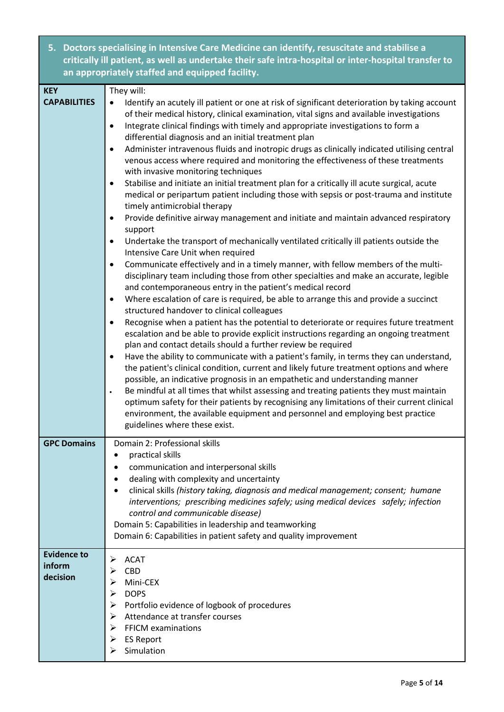| Doctors specialising in Intensive Care Medicine can identify, resuscitate and stabilise a<br>5.<br>critically ill patient, as well as undertake their safe intra-hospital or inter-hospital transfer to<br>an appropriately staffed and equipped facility. |                                                                                                                                                                                                                                                                                                                                                                                                                                                                                                                                                                                                                                                                                                                                                                                                                                                                                                                                                                                                                                                                                                                                                                                                                                                                                                                                                                                                                                                                                                                                                                                                                                                                                                                                                                                                                                                                                                                                                                                                                                                                                                                                                                                                                                                                                                                                                                    |
|------------------------------------------------------------------------------------------------------------------------------------------------------------------------------------------------------------------------------------------------------------|--------------------------------------------------------------------------------------------------------------------------------------------------------------------------------------------------------------------------------------------------------------------------------------------------------------------------------------------------------------------------------------------------------------------------------------------------------------------------------------------------------------------------------------------------------------------------------------------------------------------------------------------------------------------------------------------------------------------------------------------------------------------------------------------------------------------------------------------------------------------------------------------------------------------------------------------------------------------------------------------------------------------------------------------------------------------------------------------------------------------------------------------------------------------------------------------------------------------------------------------------------------------------------------------------------------------------------------------------------------------------------------------------------------------------------------------------------------------------------------------------------------------------------------------------------------------------------------------------------------------------------------------------------------------------------------------------------------------------------------------------------------------------------------------------------------------------------------------------------------------------------------------------------------------------------------------------------------------------------------------------------------------------------------------------------------------------------------------------------------------------------------------------------------------------------------------------------------------------------------------------------------------------------------------------------------------------------------------------------------------|
| <b>KEY</b><br><b>CAPABILITIES</b>                                                                                                                                                                                                                          | They will:<br>Identify an acutely ill patient or one at risk of significant deterioration by taking account<br>٠<br>of their medical history, clinical examination, vital signs and available investigations<br>Integrate clinical findings with timely and appropriate investigations to form a<br>$\bullet$<br>differential diagnosis and an initial treatment plan<br>Administer intravenous fluids and inotropic drugs as clinically indicated utilising central<br>$\bullet$<br>venous access where required and monitoring the effectiveness of these treatments<br>with invasive monitoring techniques<br>Stabilise and initiate an initial treatment plan for a critically ill acute surgical, acute<br>medical or peripartum patient including those with sepsis or post-trauma and institute<br>timely antimicrobial therapy<br>Provide definitive airway management and initiate and maintain advanced respiratory<br>$\bullet$<br>support<br>Undertake the transport of mechanically ventilated critically ill patients outside the<br>$\bullet$<br>Intensive Care Unit when required<br>Communicate effectively and in a timely manner, with fellow members of the multi-<br>disciplinary team including those from other specialties and make an accurate, legible<br>and contemporaneous entry in the patient's medical record<br>Where escalation of care is required, be able to arrange this and provide a succinct<br>٠<br>structured handover to clinical colleagues<br>Recognise when a patient has the potential to deteriorate or requires future treatment<br>$\bullet$<br>escalation and be able to provide explicit instructions regarding an ongoing treatment<br>plan and contact details should a further review be required<br>Have the ability to communicate with a patient's family, in terms they can understand,<br>$\bullet$<br>the patient's clinical condition, current and likely future treatment options and where<br>possible, an indicative prognosis in an empathetic and understanding manner<br>Be mindful at all times that whilst assessing and treating patients they must maintain<br>$\bullet$<br>optimum safety for their patients by recognising any limitations of their current clinical<br>environment, the available equipment and personnel and employing best practice<br>guidelines where these exist. |
| <b>GPC Domains</b>                                                                                                                                                                                                                                         | Domain 2: Professional skills<br>practical skills<br>$\bullet$<br>communication and interpersonal skills<br>$\bullet$<br>dealing with complexity and uncertainty<br>$\bullet$<br>clinical skills (history taking, diagnosis and medical management; consent; humane<br>$\bullet$<br>interventions; prescribing medicines safely; using medical devices safely; infection<br>control and communicable disease)<br>Domain 5: Capabilities in leadership and teamworking<br>Domain 6: Capabilities in patient safety and quality improvement                                                                                                                                                                                                                                                                                                                                                                                                                                                                                                                                                                                                                                                                                                                                                                                                                                                                                                                                                                                                                                                                                                                                                                                                                                                                                                                                                                                                                                                                                                                                                                                                                                                                                                                                                                                                                          |
| <b>Evidence to</b><br>inform<br>decision                                                                                                                                                                                                                   | <b>ACAT</b><br>⋗<br>CBD<br>⋗<br>Mini-CEX<br>⋗<br><b>DOPS</b><br>➤<br>Portfolio evidence of logbook of procedures<br>⋗<br>Attendance at transfer courses<br>➤<br><b>FFICM examinations</b><br>⋗<br><b>ES Report</b><br>➤<br>Simulation                                                                                                                                                                                                                                                                                                                                                                                                                                                                                                                                                                                                                                                                                                                                                                                                                                                                                                                                                                                                                                                                                                                                                                                                                                                                                                                                                                                                                                                                                                                                                                                                                                                                                                                                                                                                                                                                                                                                                                                                                                                                                                                              |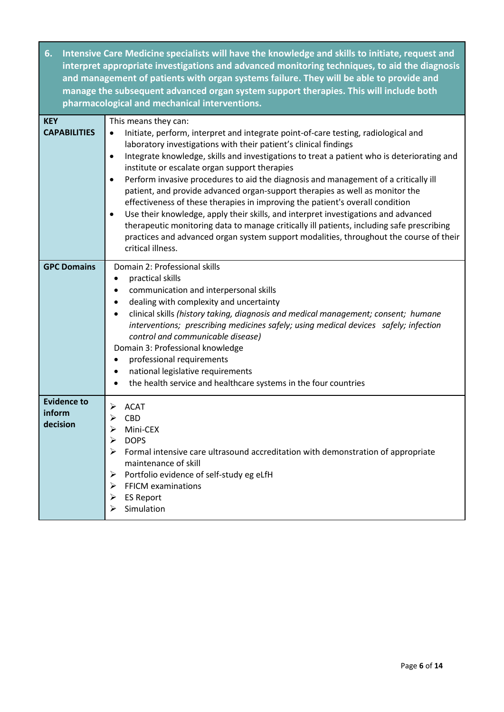**6. Intensive Care Medicine specialists will have the knowledge and skills to initiate, request and interpret appropriate investigations and advanced monitoring techniques, to aid the diagnosis and management of patients with organ systems failure. They will be able to provide and manage the subsequent advanced organ system support therapies. This will include both pharmacological and mechanical interventions.**

| <b>KEY</b><br><b>CAPABILITIES</b>        | This means they can:<br>Initiate, perform, interpret and integrate point-of-care testing, radiological and<br>$\bullet$<br>laboratory investigations with their patient's clinical findings<br>Integrate knowledge, skills and investigations to treat a patient who is deteriorating and<br>$\bullet$<br>institute or escalate organ support therapies<br>Perform invasive procedures to aid the diagnosis and management of a critically ill<br>$\bullet$<br>patient, and provide advanced organ-support therapies as well as monitor the<br>effectiveness of these therapies in improving the patient's overall condition<br>Use their knowledge, apply their skills, and interpret investigations and advanced<br>therapeutic monitoring data to manage critically ill patients, including safe prescribing<br>practices and advanced organ system support modalities, throughout the course of their<br>critical illness. |
|------------------------------------------|--------------------------------------------------------------------------------------------------------------------------------------------------------------------------------------------------------------------------------------------------------------------------------------------------------------------------------------------------------------------------------------------------------------------------------------------------------------------------------------------------------------------------------------------------------------------------------------------------------------------------------------------------------------------------------------------------------------------------------------------------------------------------------------------------------------------------------------------------------------------------------------------------------------------------------|
| <b>GPC Domains</b>                       | Domain 2: Professional skills<br>practical skills<br>$\bullet$<br>communication and interpersonal skills<br>$\bullet$<br>dealing with complexity and uncertainty<br>$\bullet$<br>clinical skills (history taking, diagnosis and medical management; consent; humane<br>$\bullet$<br>interventions; prescribing medicines safely; using medical devices safely; infection<br>control and communicable disease)<br>Domain 3: Professional knowledge<br>professional requirements<br>$\bullet$<br>national legislative requirements<br>the health service and healthcare systems in the four countries<br>$\bullet$                                                                                                                                                                                                                                                                                                               |
| <b>Evidence to</b><br>inform<br>decision | <b>ACAT</b><br>⋗<br><b>CBD</b><br>⋗<br>$\blacktriangleright$<br>Mini-CEX<br><b>DOPS</b><br>⋗<br>Formal intensive care ultrasound accreditation with demonstration of appropriate<br>➤<br>maintenance of skill<br>Portfolio evidence of self-study eg eLfH<br>➤<br><b>FFICM examinations</b><br>➤<br><b>ES Report</b><br>➤<br>Simulation<br>⋗                                                                                                                                                                                                                                                                                                                                                                                                                                                                                                                                                                                   |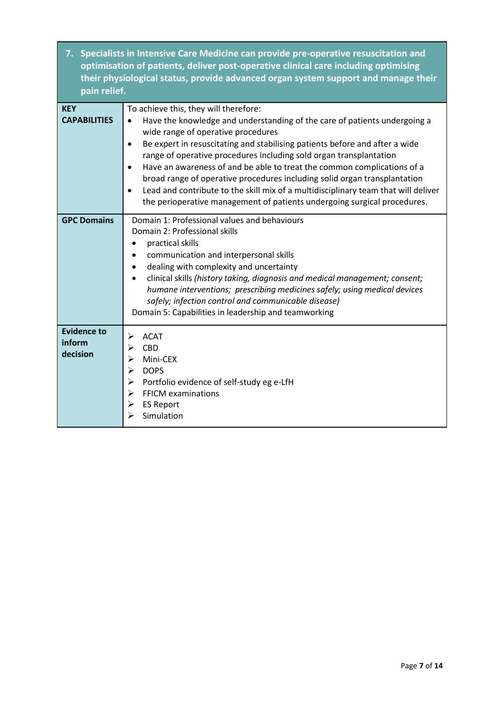**7. Specialists in Intensive Care Medicine can provide pre-operative resuscitation and optimisation of patients, deliver post-operative clinical care including optimising their physiological status, provide advanced organ system support and manage their pain relief.** 

| <b>KEY</b><br><b>CAPABILITIES</b>        | To achieve this, they will therefore:<br>Have the knowledge and understanding of the care of patients undergoing a<br>$\bullet$<br>wide range of operative procedures<br>Be expert in resuscitating and stabilising patients before and after a wide<br>$\bullet$<br>range of operative procedures including sold organ transplantation<br>Have an awareness of and be able to treat the common complications of a<br>$\bullet$<br>broad range of operative procedures including solid organ transplantation<br>Lead and contribute to the skill mix of a multidisciplinary team that will deliver<br>the perioperative management of patients undergoing surgical procedures. |
|------------------------------------------|--------------------------------------------------------------------------------------------------------------------------------------------------------------------------------------------------------------------------------------------------------------------------------------------------------------------------------------------------------------------------------------------------------------------------------------------------------------------------------------------------------------------------------------------------------------------------------------------------------------------------------------------------------------------------------|
| <b>GPC Domains</b>                       | Domain 1: Professional values and behaviours<br>Domain 2: Professional skills<br>practical skills<br>communication and interpersonal skills<br>dealing with complexity and uncertainty<br>$\bullet$<br>clinical skills (history taking, diagnosis and medical management; consent;<br>humane interventions; prescribing medicines safely; using medical devices<br>safely; infection control and communicable disease)<br>Domain 5: Capabilities in leadership and teamworking                                                                                                                                                                                                 |
| <b>Evidence to</b><br>inform<br>decision | <b>ACAT</b><br>⋗<br><b>CBD</b><br>⋗<br>Mini-CEX<br>⋗<br><b>DOPS</b><br>➤<br>Portfolio evidence of self-study eg e-LfH<br>➤<br><b>FFICM examinations</b><br>➤<br><b>ES Report</b><br>➤<br>Simulation                                                                                                                                                                                                                                                                                                                                                                                                                                                                            |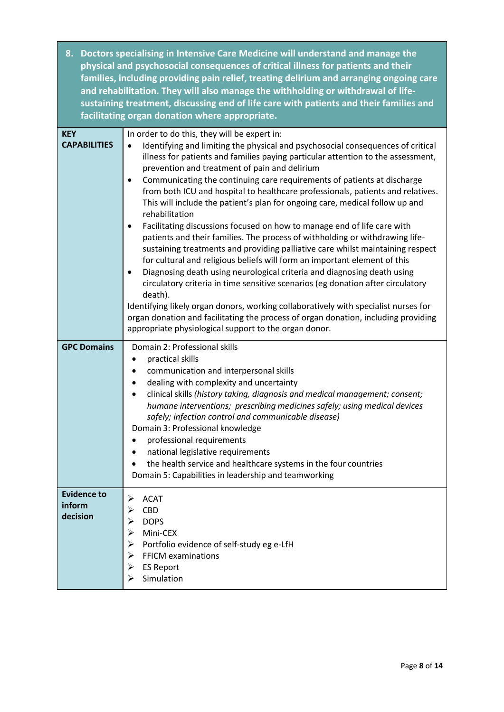|                                          | 8. Doctors specialising in Intensive Care Medicine will understand and manage the<br>physical and psychosocial consequences of critical illness for patients and their<br>families, including providing pain relief, treating delirium and arranging ongoing care<br>and rehabilitation. They will also manage the withholding or withdrawal of life-<br>sustaining treatment, discussing end of life care with patients and their families and<br>facilitating organ donation where appropriate.                                                                                                                                                                                                                                                                                                                                                                                                                                                                                                                                                                                                                                                                                                                                                                                                                    |
|------------------------------------------|----------------------------------------------------------------------------------------------------------------------------------------------------------------------------------------------------------------------------------------------------------------------------------------------------------------------------------------------------------------------------------------------------------------------------------------------------------------------------------------------------------------------------------------------------------------------------------------------------------------------------------------------------------------------------------------------------------------------------------------------------------------------------------------------------------------------------------------------------------------------------------------------------------------------------------------------------------------------------------------------------------------------------------------------------------------------------------------------------------------------------------------------------------------------------------------------------------------------------------------------------------------------------------------------------------------------|
| <b>KEY</b><br><b>CAPABILITIES</b>        | In order to do this, they will be expert in:<br>Identifying and limiting the physical and psychosocial consequences of critical<br>illness for patients and families paying particular attention to the assessment,<br>prevention and treatment of pain and delirium<br>Communicating the continuing care requirements of patients at discharge<br>$\bullet$<br>from both ICU and hospital to healthcare professionals, patients and relatives.<br>This will include the patient's plan for ongoing care, medical follow up and<br>rehabilitation<br>Facilitating discussions focused on how to manage end of life care with<br>$\bullet$<br>patients and their families. The process of withholding or withdrawing life-<br>sustaining treatments and providing palliative care whilst maintaining respect<br>for cultural and religious beliefs will form an important element of this<br>Diagnosing death using neurological criteria and diagnosing death using<br>$\bullet$<br>circulatory criteria in time sensitive scenarios (eg donation after circulatory<br>death).<br>Identifying likely organ donors, working collaboratively with specialist nurses for<br>organ donation and facilitating the process of organ donation, including providing<br>appropriate physiological support to the organ donor. |
| <b>GPC Domains</b>                       | Domain 2: Professional skills<br>practical skills<br>communication and interpersonal skills<br>dealing with complexity and uncertainty<br>clinical skills (history taking, diagnosis and medical management; consent;<br>humane interventions; prescribing medicines safely; using medical devices<br>safely; infection control and communicable disease)<br>Domain 3: Professional knowledge<br>professional requirements<br>national legislative requirements<br>the health service and healthcare systems in the four countries<br>Domain 5: Capabilities in leadership and teamworking                                                                                                                                                                                                                                                                                                                                                                                                                                                                                                                                                                                                                                                                                                                           |
| <b>Evidence to</b><br>inform<br>decision | <b>ACAT</b><br>➤<br><b>CBD</b><br>⋗<br><b>DOPS</b><br>⋗<br>Mini-CEX<br>➤<br>Portfolio evidence of self-study eg e-LfH<br>➤<br><b>FFICM examinations</b><br>➤<br><b>ES Report</b><br>➤<br>Simulation                                                                                                                                                                                                                                                                                                                                                                                                                                                                                                                                                                                                                                                                                                                                                                                                                                                                                                                                                                                                                                                                                                                  |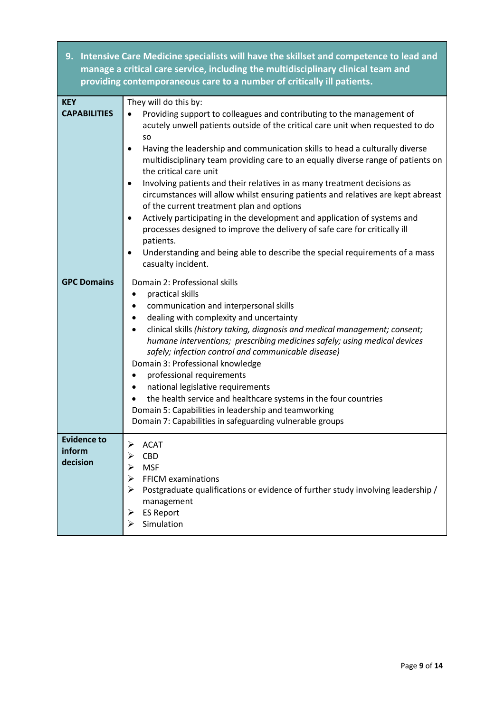|                                          | 9. Intensive Care Medicine specialists will have the skillset and competence to lead and<br>manage a critical care service, including the multidisciplinary clinical team and<br>providing contemporaneous care to a number of critically ill patients.                                                                                                                                                                                                                                                                                                                                                                                                                                                                                                                                                                                                                                                                                      |
|------------------------------------------|----------------------------------------------------------------------------------------------------------------------------------------------------------------------------------------------------------------------------------------------------------------------------------------------------------------------------------------------------------------------------------------------------------------------------------------------------------------------------------------------------------------------------------------------------------------------------------------------------------------------------------------------------------------------------------------------------------------------------------------------------------------------------------------------------------------------------------------------------------------------------------------------------------------------------------------------|
| <b>KEY</b><br><b>CAPABILITIES</b>        | They will do this by:<br>Providing support to colleagues and contributing to the management of<br>$\bullet$<br>acutely unwell patients outside of the critical care unit when requested to do<br><b>SO</b><br>Having the leadership and communication skills to head a culturally diverse<br>$\bullet$<br>multidisciplinary team providing care to an equally diverse range of patients on<br>the critical care unit<br>Involving patients and their relatives in as many treatment decisions as<br>$\bullet$<br>circumstances will allow whilst ensuring patients and relatives are kept abreast<br>of the current treatment plan and options<br>Actively participating in the development and application of systems and<br>٠<br>processes designed to improve the delivery of safe care for critically ill<br>patients.<br>Understanding and being able to describe the special requirements of a mass<br>$\bullet$<br>casualty incident. |
| <b>GPC Domains</b>                       | Domain 2: Professional skills<br>practical skills<br>$\bullet$<br>communication and interpersonal skills<br>٠<br>dealing with complexity and uncertainty<br>$\bullet$<br>clinical skills (history taking, diagnosis and medical management; consent;<br>$\bullet$<br>humane interventions; prescribing medicines safely; using medical devices<br>safely; infection control and communicable disease)<br>Domain 3: Professional knowledge<br>professional requirements<br>$\bullet$<br>national legislative requirements<br>$\bullet$<br>the health service and healthcare systems in the four countries<br>Domain 5: Capabilities in leadership and teamworking<br>Domain 7: Capabilities in safeguarding vulnerable groups                                                                                                                                                                                                                 |
| <b>Evidence to</b><br>inform<br>decision | <b>ACAT</b><br>CBD<br><b>MSF</b><br><b>FFICM examinations</b><br>➤<br>Postgraduate qualifications or evidence of further study involving leadership /<br>management<br><b>ES Report</b><br>➤<br>Simulation                                                                                                                                                                                                                                                                                                                                                                                                                                                                                                                                                                                                                                                                                                                                   |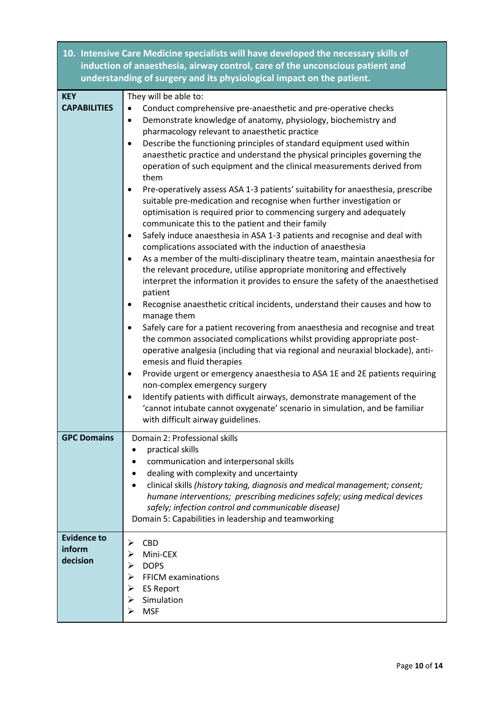|                                          | 10. Intensive Care Medicine specialists will have developed the necessary skills of<br>induction of anaesthesia, airway control, care of the unconscious patient and<br>understanding of surgery and its physiological impact on the patient.                                                                                                                                                                                                                                                                                                                                                                                                                                                                                                                                                                                                                                                                                                                                                                                                                                                                                                                                                                                                                                                                                                                                                                                                                                                                                                                                                                                                                                                                                                                                                                                                                                                                       |
|------------------------------------------|---------------------------------------------------------------------------------------------------------------------------------------------------------------------------------------------------------------------------------------------------------------------------------------------------------------------------------------------------------------------------------------------------------------------------------------------------------------------------------------------------------------------------------------------------------------------------------------------------------------------------------------------------------------------------------------------------------------------------------------------------------------------------------------------------------------------------------------------------------------------------------------------------------------------------------------------------------------------------------------------------------------------------------------------------------------------------------------------------------------------------------------------------------------------------------------------------------------------------------------------------------------------------------------------------------------------------------------------------------------------------------------------------------------------------------------------------------------------------------------------------------------------------------------------------------------------------------------------------------------------------------------------------------------------------------------------------------------------------------------------------------------------------------------------------------------------------------------------------------------------------------------------------------------------|
| <b>KEY</b><br><b>CAPABILITIES</b>        | They will be able to:<br>Conduct comprehensive pre-anaesthetic and pre-operative checks<br>Demonstrate knowledge of anatomy, physiology, biochemistry and<br>$\bullet$<br>pharmacology relevant to anaesthetic practice<br>Describe the functioning principles of standard equipment used within<br>$\bullet$<br>anaesthetic practice and understand the physical principles governing the<br>operation of such equipment and the clinical measurements derived from<br>them<br>Pre-operatively assess ASA 1-3 patients' suitability for anaesthesia, prescribe<br>suitable pre-medication and recognise when further investigation or<br>optimisation is required prior to commencing surgery and adequately<br>communicate this to the patient and their family<br>Safely induce anaesthesia in ASA 1-3 patients and recognise and deal with<br>$\bullet$<br>complications associated with the induction of anaesthesia<br>As a member of the multi-disciplinary theatre team, maintain anaesthesia for<br>$\bullet$<br>the relevant procedure, utilise appropriate monitoring and effectively<br>interpret the information it provides to ensure the safety of the anaesthetised<br>patient<br>Recognise anaesthetic critical incidents, understand their causes and how to<br>٠<br>manage them<br>Safely care for a patient recovering from anaesthesia and recognise and treat<br>٠<br>the common associated complications whilst providing appropriate post-<br>operative analgesia (including that via regional and neuraxial blockade), anti-<br>emesis and fluid therapies<br>Provide urgent or emergency anaesthesia to ASA 1E and 2E patients requiring<br>$\bullet$<br>non-complex emergency surgery<br>Identify patients with difficult airways, demonstrate management of the<br>٠<br>'cannot intubate cannot oxygenate' scenario in simulation, and be familiar<br>with difficult airway guidelines. |
| <b>GPC Domains</b>                       | Domain 2: Professional skills<br>practical skills<br>$\bullet$<br>communication and interpersonal skills<br>dealing with complexity and uncertainty<br>clinical skills (history taking, diagnosis and medical management; consent;<br>humane interventions; prescribing medicines safely; using medical devices<br>safely; infection control and communicable disease)<br>Domain 5: Capabilities in leadership and teamworking                                                                                                                                                                                                                                                                                                                                                                                                                                                                                                                                                                                                                                                                                                                                                                                                                                                                                                                                                                                                                                                                                                                                                                                                                                                                                                                                                                                                                                                                                      |
| <b>Evidence to</b><br>inform<br>decision | ➤<br><b>CBD</b><br>Mini-CEX<br>⋗<br><b>DOPS</b><br>➤<br><b>FFICM examinations</b><br>➤<br><b>ES Report</b><br>Simulation<br><b>MSF</b>                                                                                                                                                                                                                                                                                                                                                                                                                                                                                                                                                                                                                                                                                                                                                                                                                                                                                                                                                                                                                                                                                                                                                                                                                                                                                                                                                                                                                                                                                                                                                                                                                                                                                                                                                                              |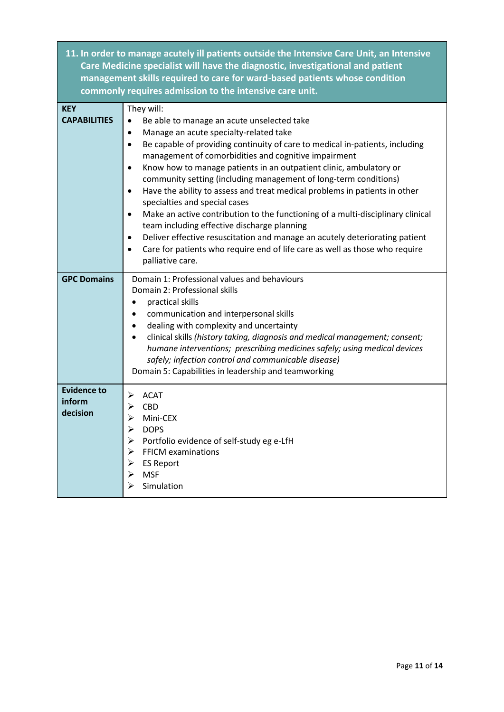|                                          | 11. In order to manage acutely ill patients outside the Intensive Care Unit, an Intensive<br>Care Medicine specialist will have the diagnostic, investigational and patient<br>management skills required to care for ward-based patients whose condition<br>commonly requires admission to the intensive care unit.                                                                                                                                                                                                                                                                                                                                                                                                                                                                                                                                                                                                    |
|------------------------------------------|-------------------------------------------------------------------------------------------------------------------------------------------------------------------------------------------------------------------------------------------------------------------------------------------------------------------------------------------------------------------------------------------------------------------------------------------------------------------------------------------------------------------------------------------------------------------------------------------------------------------------------------------------------------------------------------------------------------------------------------------------------------------------------------------------------------------------------------------------------------------------------------------------------------------------|
| <b>KEY</b><br><b>CAPABILITIES</b>        | They will:<br>Be able to manage an acute unselected take<br>٠<br>Manage an acute specialty-related take<br>$\bullet$<br>Be capable of providing continuity of care to medical in-patients, including<br>$\bullet$<br>management of comorbidities and cognitive impairment<br>Know how to manage patients in an outpatient clinic, ambulatory or<br>$\bullet$<br>community setting (including management of long-term conditions)<br>Have the ability to assess and treat medical problems in patients in other<br>$\bullet$<br>specialties and special cases<br>Make an active contribution to the functioning of a multi-disciplinary clinical<br>$\bullet$<br>team including effective discharge planning<br>Deliver effective resuscitation and manage an acutely deteriorating patient<br>$\bullet$<br>Care for patients who require end of life care as well as those who require<br>$\bullet$<br>palliative care. |
| <b>GPC Domains</b>                       | Domain 1: Professional values and behaviours<br>Domain 2: Professional skills<br>practical skills<br>communication and interpersonal skills<br>٠<br>dealing with complexity and uncertainty<br>$\bullet$<br>clinical skills (history taking, diagnosis and medical management; consent;<br>$\bullet$<br>humane interventions; prescribing medicines safely; using medical devices<br>safely; infection control and communicable disease)<br>Domain 5: Capabilities in leadership and teamworking                                                                                                                                                                                                                                                                                                                                                                                                                        |
| <b>Evidence to</b><br>inform<br>decision | <b>ACAT</b><br>➤<br><b>CBD</b><br>⋗<br>Mini-CEX<br>⋗<br>➤<br><b>DOPS</b><br>Portfolio evidence of self-study eg e-LfH<br>➤<br><b>FFICM examinations</b><br><b>ES Report</b><br><b>MSF</b><br>➤<br>Simulation                                                                                                                                                                                                                                                                                                                                                                                                                                                                                                                                                                                                                                                                                                            |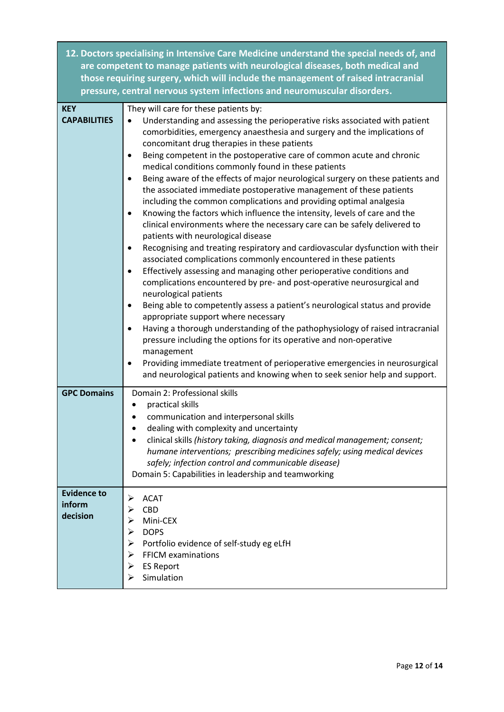|                     | 12. Doctors specialising in Intensive Care Medicine understand the special needs of, and<br>are competent to manage patients with neurological diseases, both medical and<br>those requiring surgery, which will include the management of raised intracranial<br>pressure, central nervous system infections and neuromuscular disorders. |
|---------------------|--------------------------------------------------------------------------------------------------------------------------------------------------------------------------------------------------------------------------------------------------------------------------------------------------------------------------------------------|
| <b>KEY</b>          | They will care for these patients by:                                                                                                                                                                                                                                                                                                      |
| <b>CAPABILITIES</b> | Understanding and assessing the perioperative risks associated with patient<br>comorbidities, emergency anaesthesia and surgery and the implications of<br>concomitant drug therapies in these patients                                                                                                                                    |
|                     | Being competent in the postoperative care of common acute and chronic<br>medical conditions commonly found in these patients                                                                                                                                                                                                               |
|                     | Being aware of the effects of major neurological surgery on these patients and<br>the associated immediate postoperative management of these patients<br>including the common complications and providing optimal analgesia                                                                                                                |
|                     | Knowing the factors which influence the intensity, levels of care and the<br>clinical environments where the necessary care can be safely delivered to<br>patients with neurological disease                                                                                                                                               |
|                     | Recognising and treating respiratory and cardiovascular dysfunction with their<br>associated complications commonly encountered in these patients                                                                                                                                                                                          |
|                     | Effectively assessing and managing other perioperative conditions and                                                                                                                                                                                                                                                                      |

|  |                       | complications encountered by pre- and post-operative neurosurgical and |  |  |  |  |
|--|-----------------------|------------------------------------------------------------------------|--|--|--|--|
|  | neurological patients |                                                                        |  |  |  |  |
|  |                       |                                                                        |  |  |  |  |

|  | Being able to competently assess a patient's neurological status and provide |
|--|------------------------------------------------------------------------------|
|  | appropriate support where necessary                                          |

| • Having a thorough understanding of the pathophysiology of raised intracranial |
|---------------------------------------------------------------------------------|
| pressure including the options for its operative and non-operative              |
| management                                                                      |

| Providing immediate treatment of perioperative emergencies in neurosurgical |
|-----------------------------------------------------------------------------|
| and neurological patients and knowing when to seek senior help and support. |

| <b>GPC Domains</b>                       | Domain 2: Professional skills<br>practical skills<br>communication and interpersonal skills<br>dealing with complexity and uncertainty<br>clinical skills (history taking, diagnosis and medical management; consent;<br>humane interventions; prescribing medicines safely; using medical devices<br>safely; infection control and communicable disease)<br>Domain 5: Capabilities in leadership and teamworking |
|------------------------------------------|-------------------------------------------------------------------------------------------------------------------------------------------------------------------------------------------------------------------------------------------------------------------------------------------------------------------------------------------------------------------------------------------------------------------|
| <b>Evidence to</b><br>inform<br>decision | <b>ACAT</b><br>⋗<br><b>CBD</b><br>Mini-CEX<br>⋗<br><b>DOPS</b><br>⋗<br>Portfolio evidence of self-study eg eLfH<br>➤<br><b>FFICM examinations</b><br>⋗<br><b>ES Report</b><br>⋗<br>Simulation<br>↘                                                                                                                                                                                                                |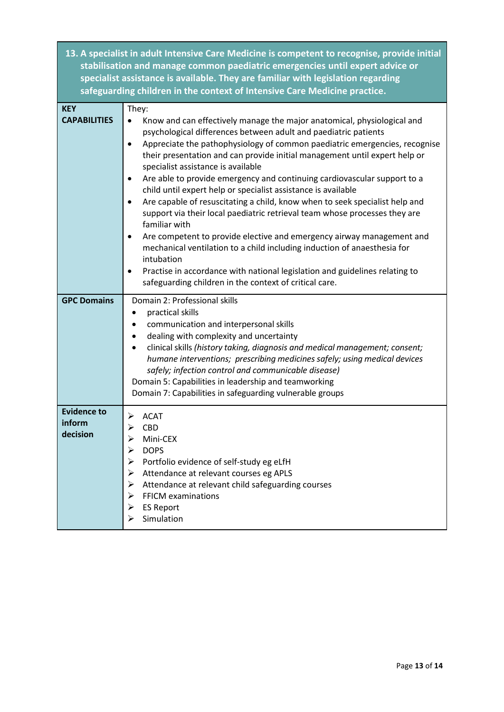**13. A specialist in adult Intensive Care Medicine is competent to recognise, provide initial stabilisation and manage common paediatric emergencies until expert advice or specialist assistance is available. They are familiar with legislation regarding safeguarding children in the context of Intensive Care Medicine practice.** 

| <b>KEY</b>                               | They:                                                                                                                                                                                                                                                                                                                                                                                                                                                                                                                                                                                                                                                                                                                                                                                                                                                                                                                                                                                                                           |
|------------------------------------------|---------------------------------------------------------------------------------------------------------------------------------------------------------------------------------------------------------------------------------------------------------------------------------------------------------------------------------------------------------------------------------------------------------------------------------------------------------------------------------------------------------------------------------------------------------------------------------------------------------------------------------------------------------------------------------------------------------------------------------------------------------------------------------------------------------------------------------------------------------------------------------------------------------------------------------------------------------------------------------------------------------------------------------|
| <b>CAPABILITIES</b>                      | Know and can effectively manage the major anatomical, physiological and<br>$\bullet$<br>psychological differences between adult and paediatric patients<br>Appreciate the pathophysiology of common paediatric emergencies, recognise<br>$\bullet$<br>their presentation and can provide initial management until expert help or<br>specialist assistance is available<br>Are able to provide emergency and continuing cardiovascular support to a<br>child until expert help or specialist assistance is available<br>Are capable of resuscitating a child, know when to seek specialist help and<br>support via their local paediatric retrieval team whose processes they are<br>familiar with<br>Are competent to provide elective and emergency airway management and<br>$\bullet$<br>mechanical ventilation to a child including induction of anaesthesia for<br>intubation<br>Practise in accordance with national legislation and guidelines relating to<br>٠<br>safeguarding children in the context of critical care. |
| <b>GPC Domains</b>                       | Domain 2: Professional skills<br>practical skills<br>communication and interpersonal skills<br>dealing with complexity and uncertainty<br>$\bullet$<br>clinical skills (history taking, diagnosis and medical management; consent;<br>$\bullet$<br>humane interventions; prescribing medicines safely; using medical devices<br>safely; infection control and communicable disease)<br>Domain 5: Capabilities in leadership and teamworking<br>Domain 7: Capabilities in safeguarding vulnerable groups                                                                                                                                                                                                                                                                                                                                                                                                                                                                                                                         |
| <b>Evidence to</b><br>inform<br>decision | <b>ACAT</b><br>➤<br><b>CBD</b><br>➤<br>Mini-CEX<br>$\blacktriangleright$<br><b>DOPS</b><br>➤<br>Portfolio evidence of self-study eg eLfH<br>$\blacktriangleright$<br>Attendance at relevant courses eg APLS<br>➤<br>Attendance at relevant child safeguarding courses<br>➤<br><b>FFICM examinations</b><br>➤<br><b>ES Report</b><br>➤<br>Simulation                                                                                                                                                                                                                                                                                                                                                                                                                                                                                                                                                                                                                                                                             |